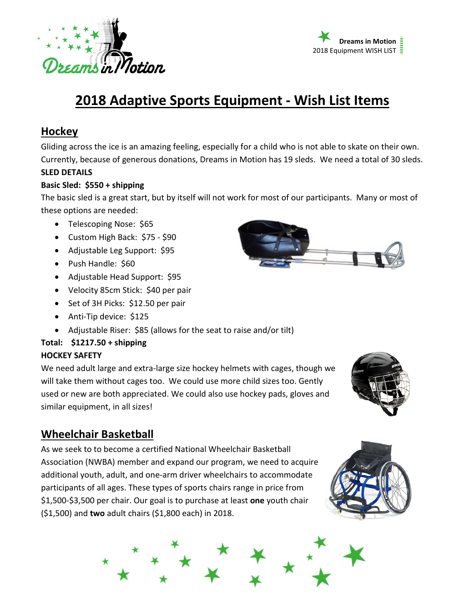



# **2018 Adaptive Sports Equipment - Wish List Items**

## **Hockey**

Gliding across the ice is an amazing feeling, especially for a child who is not able to skate on their own. Currently, because of generous donations, Dreams in Motion has 19 sleds. We need a total of 30 sleds.

### **SLED DETAILS**

#### **Basic Sled: \$550 + shipping**

The basic sled is a great start, but by itself will not work for most of our participants. Many or most of these options are needed:

- Telescoping Nose: \$65
- Custom High Back: \$75 \$90
- Adjustable Leg Support: \$95
- Push Handle: \$60
- Adjustable Head Support: \$95
- Velocity 85cm Stick: \$40 per pair
- Set of 3H Picks: \$12.50 per pair
- Anti-Tip device: \$125
- Adjustable Riser: \$85 (allows for the seat to raise and/or tilt)

## **Total: \$1217.50 + shipping**

### **HOCKEY SAFETY**

We need adult large and extra-large size hockey helmets with cages, though we will take them without cages too. We could use more child sizes too. Gently used or new are both appreciated. We could also use hockey pads, gloves and similar equipment, in all sizes!

# **Wheelchair Basketball**

As we seek to to become a certified National Wheelchair Basketball Association (NWBA) member and expand our program, we need to acquire additional youth, adult, and one-arm driver wheelchairs to accommodate participants of all ages. These types of sports chairs range in price from \$1,500-\$3,500 per chair. Our goal is to purchase at least **one** youth chair (\$1,500) and **two** adult chairs (\$1,800 each) in 2018.